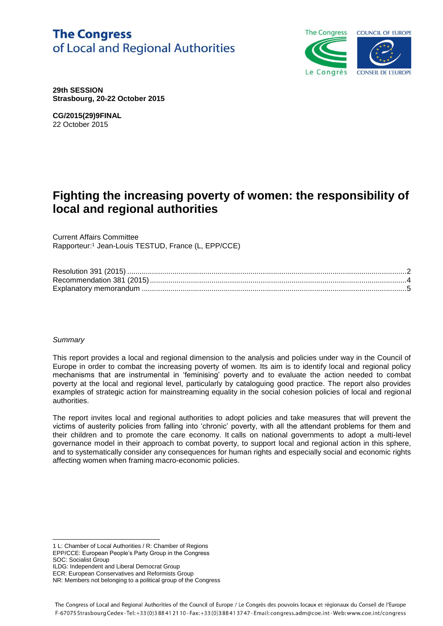# **The Congress** of Local and Regional Authorities



**29th SESSION Strasbourg, 20-22 October 2015**

**CG/2015(29)9FINAL** 22 October 2015

# **Fighting the increasing poverty of women: the responsibility of local and regional authorities**

Current Affairs Committee Rapporteur:<sup>1</sup> Jean-Louis TESTUD, France (L, EPP/CCE)

#### *Summary*

l

This report provides a local and regional dimension to the analysis and policies under way in the Council of Europe in order to combat the increasing poverty of women. Its aim is to identify local and regional policy mechanisms that are instrumental in 'feminising' poverty and to evaluate the action needed to combat poverty at the local and regional level, particularly by cataloguing good practice. The report also provides examples of strategic action for mainstreaming equality in the social cohesion policies of local and regional authorities.

The report invites local and regional authorities to adopt policies and take measures that will prevent the victims of austerity policies from falling into 'chronic' poverty, with all the attendant problems for them and their children and to promote the care economy. It calls on national governments to adopt a multi-level governance model in their approach to combat poverty, to support local and regional action in this sphere, and to systematically consider any consequences for human rights and especially social and economic rights affecting women when framing macro-economic policies.

<sup>1</sup> L: Chamber of Local Authorities / R: Chamber of Regions

EPP/CCE: European People's Party Group in the Congress SOC: Socialist Group

ILDG: Independent and Liberal Democrat Group

ECR: European Conservatives and Reformists Group

NR: Members not belonging to a political group of the Congress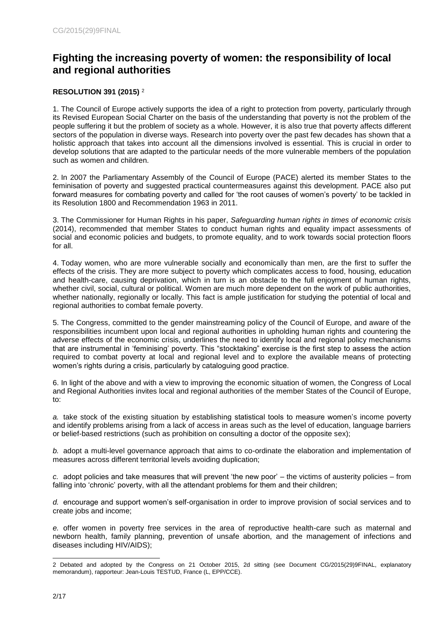## **Fighting the increasing poverty of women: the responsibility of local and regional authorities**

#### **RESOLUTION 391 (2015)** <sup>2</sup>

1. The Council of Europe actively supports the idea of a right to protection from poverty, particularly through its Revised European Social Charter on the basis of the understanding that poverty is not the problem of the people suffering it but the problem of society as a whole. However, it is also true that poverty affects different sectors of the population in diverse ways. Research into poverty over the past few decades has shown that a holistic approach that takes into account all the dimensions involved is essential. This is crucial in order to develop solutions that are adapted to the particular needs of the more vulnerable members of the population such as women and children.

2. In 2007 the Parliamentary Assembly of the Council of Europe (PACE) alerted its member States to the feminisation of poverty and suggested practical countermeasures against this development. PACE also put forward measures for combating poverty and called for 'the root causes of women's poverty' to be tackled in its Resolution 1800 and Recommendation 1963 in 2011.

3. The Commissioner for Human Rights in his paper, *Safeguarding human rights in times of economic crisis* (2014), recommended that member States to conduct human rights and equality impact assessments of social and economic policies and budgets, to promote equality, and to work towards social protection floors for all.

4. Today women, who are more vulnerable socially and economically than men, are the first to suffer the effects of the crisis. They are more subject to poverty which complicates access to food, housing, education and health-care, causing deprivation, which in turn is an obstacle to the full enjoyment of human rights, whether civil, social, cultural or political. Women are much more dependent on the work of public authorities, whether nationally, regionally or locally. This fact is ample justification for studying the potential of local and regional authorities to combat female poverty.

5. The Congress, committed to the gender mainstreaming policy of the Council of Europe, and aware of the responsibilities incumbent upon local and regional authorities in upholding human rights and countering the adverse effects of the economic crisis, underlines the need to identify local and regional policy mechanisms that are instrumental in 'feminising' poverty. This "stocktaking" exercise is the first step to assess the action required to combat poverty at local and regional level and to explore the available means of protecting women's rights during a crisis, particularly by cataloguing good practice.

6. In light of the above and with a view to improving the economic situation of women, the Congress of Local and Regional Authorities invites local and regional authorities of the member States of the Council of Europe, to:

*a.* take stock of the existing situation by establishing statistical tools to measure women's income poverty and identify problems arising from a lack of access in areas such as the level of education, language barriers or belief-based restrictions (such as prohibition on consulting a doctor of the opposite sex);

*b.* adopt a multi-level governance approach that aims to co-ordinate the elaboration and implementation of measures across different territorial levels avoiding duplication;

*c.* adopt policies and take measures that will prevent 'the new poor' – the victims of austerity policies – from falling into 'chronic' poverty, with all the attendant problems for them and their children;

*d.* encourage and support women's self-organisation in order to improve provision of social services and to create jobs and income;

*e.* offer women in poverty free services in the area of reproductive health-care such as maternal and newborn health, family planning, prevention of unsafe abortion, and the management of infections and diseases including HIV/AIDS);

l 2 Debated and adopted by the Congress on 21 October 2015, 2d sitting (see Document CG/2015(29)9FINAL, explanatory memorandum), rapporteur: Jean-Louis TESTUD, France (L, EPP/CCE).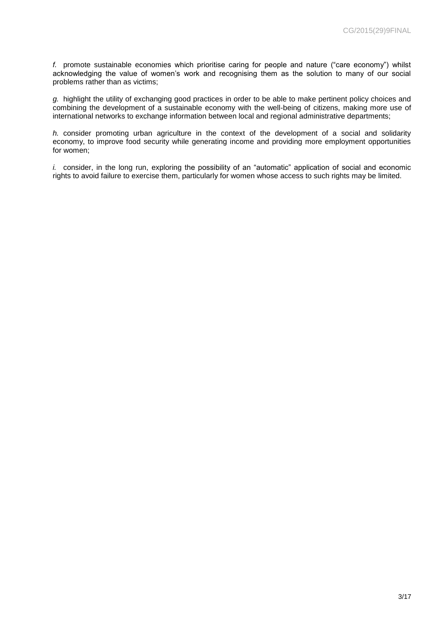*f.* promote sustainable economies which prioritise caring for people and nature ("care economy") whilst acknowledging the value of women's work and recognising them as the solution to many of our social problems rather than as victims;

*g.* highlight the utility of exchanging good practices in order to be able to make pertinent policy choices and combining the development of a sustainable economy with the well-being of citizens, making more use of international networks to exchange information between local and regional administrative departments;

*h.* consider promoting urban agriculture in the context of the development of a social and solidarity economy, to improve food security while generating income and providing more employment opportunities for women;

*i.* consider, in the long run, exploring the possibility of an "automatic" application of social and economic rights to avoid failure to exercise them, particularly for women whose access to such rights may be limited.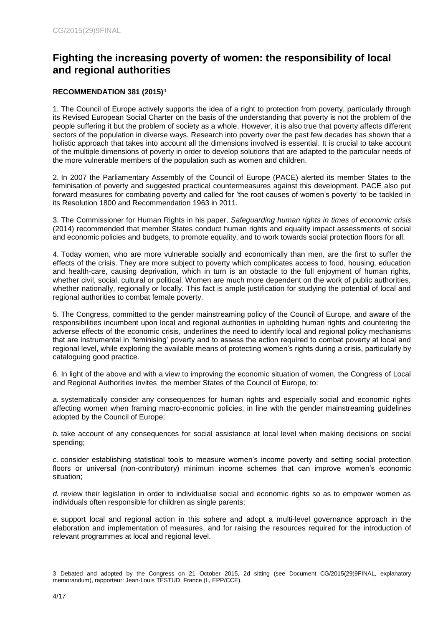## **Fighting the increasing poverty of women: the responsibility of local and regional authorities**

#### **RECOMMENDATION 381 (2015)**<sup>3</sup>

1. The Council of Europe actively supports the idea of a right to protection from poverty, particularly through its Revised European Social Charter on the basis of the understanding that poverty is not the problem of the people suffering it but the problem of society as a whole. However, it is also true that poverty affects different sectors of the population in diverse ways. Research into poverty over the past few decades has shown that a holistic approach that takes into account all the dimensions involved is essential. It is crucial to take account of the multiple dimensions of poverty in order to develop solutions that are adapted to the particular needs of the more vulnerable members of the population such as women and children.

2. In 2007 the Parliamentary Assembly of the Council of Europe (PACE) alerted its member States to the feminisation of poverty and suggested practical countermeasures against this development. PACE also put forward measures for combating poverty and called for 'the root causes of women's poverty' to be tackled in its Resolution 1800 and Recommendation 1963 in 2011.

3. The Commissioner for Human Rights in his paper, *Safeguarding human rights in times of economic crisis* (2014) recommended that member States conduct human rights and equality impact assessments of social and economic policies and budgets, to promote equality, and to work towards social protection floors for all.

4. Today women, who are more vulnerable socially and economically than men, are the first to suffer the effects of the crisis. They are more subject to poverty which complicates access to food, housing, education and health-care, causing deprivation, which in turn is an obstacle to the full enjoyment of human rights, whether civil, social, cultural or political. Women are much more dependent on the work of public authorities, whether nationally, regionally or locally. This fact is ample justification for studying the potential of local and regional authorities to combat female poverty.

5. The Congress, committed to the gender mainstreaming policy of the Council of Europe, and aware of the responsibilities incumbent upon local and regional authorities in upholding human rights and countering the adverse effects of the economic crisis, underlines the need to identify local and regional policy mechanisms that are instrumental in 'feminising' poverty and to assess the action required to combat poverty at local and regional level, while exploring the available means of protecting women's rights during a crisis, particularly by cataloguing good practice.

6. In light of the above and with a view to improving the economic situation of women, the Congress of Local and Regional Authorities invites the member States of the Council of Europe, to:

*a.* systematically consider any consequences for human rights and especially social and economic rights affecting women when framing macro-economic policies, in line with the gender mainstreaming guidelines adopted by the Council of Europe;

*b.* take account of any consequences for social assistance at local level when making decisions on social spending;

*c.* consider establishing statistical tools to measure women's income poverty and setting social protection floors or universal (non-contributory) minimum income schemes that can improve women's economic situation;

*d.* review their legislation in order to individualise social and economic rights so as to empower women as individuals often responsible for children as single parents;

*e.* support local and regional action in this sphere and adopt a multi-level governance approach in the elaboration and implementation of measures, and for raising the resources required for the introduction of relevant programmes at local and regional level.

<sup>3</sup> Debated and adopted by the Congress on 21 October 2015, 2d sitting (see Document CG/2015(29)9FINAL, explanatory memorandum), rapporteur: Jean-Louis TESTUD, France (L, EPP/CCE).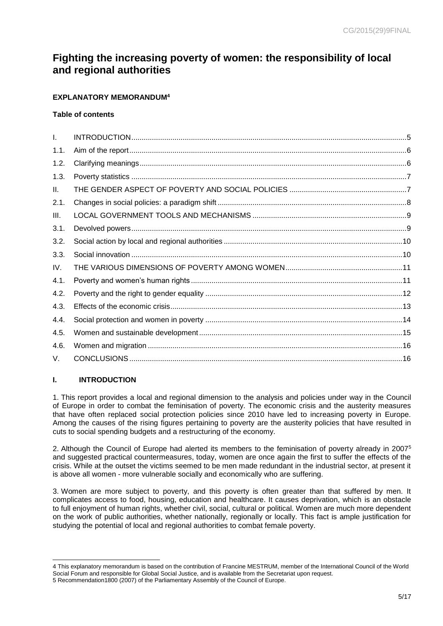# <span id="page-4-0"></span>**Fighting the increasing poverty of women: the responsibility of local and regional authorities**

### **EXPLANATORY MEMORANDUM<sup>4</sup>**

### **Table of contents**

| I.   |  |
|------|--|
| 1.1. |  |
| 1.2. |  |
| 1.3. |  |
| Ш.   |  |
| 2.1. |  |
| III. |  |
| 3.1. |  |
| 3.2. |  |
| 3.3. |  |
| IV.  |  |
| 4.1. |  |
| 4.2. |  |
| 4.3. |  |
| 4.4. |  |
| 4.5. |  |
| 4.6. |  |
| V.   |  |

### <span id="page-4-1"></span>**I. INTRODUCTION**

1. This report provides a local and regional dimension to the analysis and policies under way in the Council of Europe in order to combat the feminisation of poverty. The economic crisis and the austerity measures that have often replaced social protection policies since 2010 have led to increasing poverty in Europe. Among the causes of the rising figures pertaining to poverty are the austerity policies that have resulted in cuts to social spending budgets and a restructuring of the economy.

2. Although the Council of Europe had alerted its members to the feminisation of poverty already in 2007<sup>5</sup> and suggested practical countermeasures, today, women are once again the first to suffer the effects of the crisis. While at the outset the victims seemed to be men made redundant in the industrial sector, at present it is above all women - more vulnerable socially and economically who are suffering.

3. Women are more subject to poverty, and this poverty is often greater than that suffered by men. It complicates access to food, housing, education and healthcare. It causes deprivation, which is an obstacle to full enjoyment of human rights, whether civil, social, cultural or political. Women are much more dependent on the work of public authorities, whether nationally, regionally or locally. This fact is ample justification for studying the potential of local and regional authorities to combat female poverty.

l 4 This explanatory memorandum is based on the contribution of Francine MESTRUM, member of the International Council of the World Social Forum and responsible for Global Social Justice, and is available from the Secretariat upon request.

<sup>5</sup> Recommendation1800 (2007) of the Parliamentary Assembly of the Council of Europe.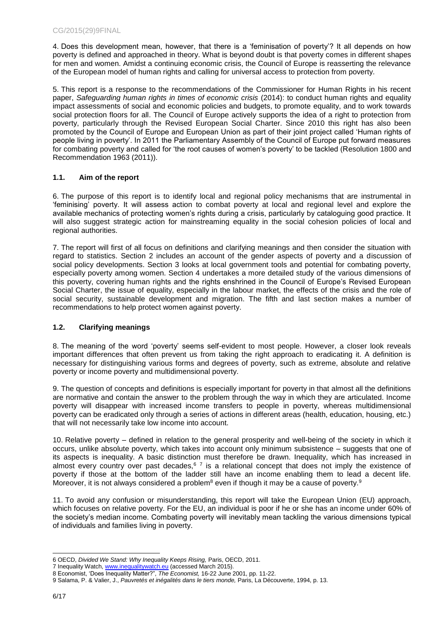4. Does this development mean, however, that there is a 'feminisation of poverty'? It all depends on how poverty is defined and approached in theory. What is beyond doubt is that poverty comes in different shapes for men and women. Amidst a continuing economic crisis, the Council of Europe is reasserting the relevance of the European model of human rights and calling for universal access to protection from poverty.

5. This report is a response to the recommendations of the Commissioner for Human Rights in his recent paper, *Safeguarding human rights in times of economic crisis* (2014): to conduct human rights and equality impact assessments of social and economic policies and budgets, to promote equality, and to work towards social protection floors for all. The Council of Europe actively supports the idea of a right to protection from poverty, particularly through the Revised European Social Charter. Since 2010 this right has also been promoted by the Council of Europe and European Union as part of their joint project called 'Human rights of people living in poverty'. In 2011 the Parliamentary Assembly of the Council of Europe put forward measures for combating poverty and called for 'the root causes of women's poverty' to be tackled (Resolution 1800 and Recommendation 1963 (2011)).

#### <span id="page-5-0"></span>**1.1. Aim of the report**

6. The purpose of this report is to identify local and regional policy mechanisms that are instrumental in 'feminising' poverty. It will assess action to combat poverty at local and regional level and explore the available mechanics of protecting women's rights during a crisis, particularly by cataloguing good practice. It will also suggest strategic action for mainstreaming equality in the social cohesion policies of local and regional authorities.

7. The report will first of all focus on definitions and clarifying meanings and then consider the situation with regard to statistics. Section 2 includes an account of the gender aspects of poverty and a discussion of social policy developments. Section 3 looks at local government tools and potential for combating poverty, especially poverty among women. Section 4 undertakes a more detailed study of the various dimensions of this poverty, covering human rights and the rights enshrined in the Council of Europe's Revised European Social Charter, the issue of equality, especially in the labour market, the effects of the crisis and the role of social security, sustainable development and migration. The fifth and last section makes a number of recommendations to help protect women against poverty.

#### <span id="page-5-1"></span>**1.2. Clarifying meanings**

8. The meaning of the word 'poverty' seems self-evident to most people. However, a closer look reveals important differences that often prevent us from taking the right approach to eradicating it. A definition is necessary for distinguishing various forms and degrees of poverty, such as extreme, absolute and relative poverty or income poverty and multidimensional poverty.

9. The question of concepts and definitions is especially important for poverty in that almost all the definitions are normative and contain the answer to the problem through the way in which they are articulated. Income poverty will disappear with increased income transfers to people in poverty, whereas multidimensional poverty can be eradicated only through a series of actions in different areas (health, education, housing, etc.) that will not necessarily take low income into account.

10. Relative poverty – defined in relation to the general prosperity and well-being of the society in which it occurs, unlike absolute poverty, which takes into account only minimum subsistence – suggests that one of its aspects is inequality. A basic distinction must therefore be drawn. Inequality, which has increased in almost every country over past decades,  $67$  is a relational concept that does not imply the existence of poverty if those at the bottom of the ladder still have an income enabling them to lead a decent life. Moreover, it is not always considered a problem $8$  even if though it may be a cause of poverty. $9$ 

11. To avoid any confusion or misunderstanding, this report will take the European Union (EU) approach, which focuses on relative poverty. For the EU, an individual is poor if he or she has an income under 60% of the society's median income. Combating poverty will inevitably mean tackling the various dimensions typical of individuals and families living in poverty.

l 6 OECD, *Divided We Stand: Why Inequality Keeps Rising,* Paris, OECD, 2011.

<sup>7</sup> Inequality Watch[, www.inequalitywatch.eu](http://www.inequalitywatch.eu/) (accessed March 2015).

<sup>8</sup> Economist, 'Does Inequality Matter?", *The Economist,* 16-22 June 2001, pp. 11-22.

<sup>9</sup> Salama, P. & Valier, J., *Pauvretés et inégalités dans le tiers monde,* Paris, La Découverte, 1994, p. 13.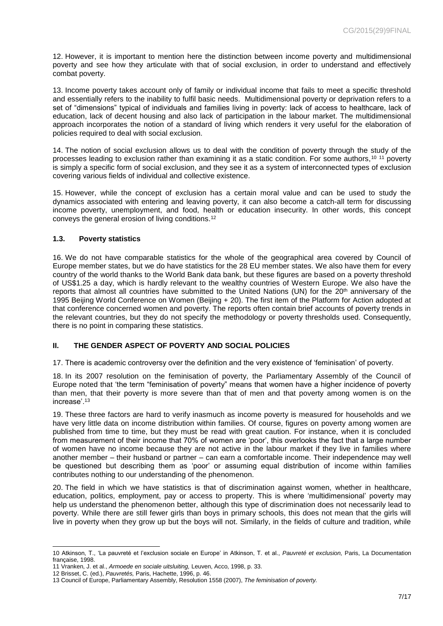12. However, it is important to mention here the distinction between income poverty and multidimensional poverty and see how they articulate with that of social exclusion, in order to understand and effectively combat poverty.

13. Income poverty takes account only of family or individual income that fails to meet a specific threshold and essentially refers to the inability to fulfil basic needs. Multidimensional poverty or deprivation refers to a set of "dimensions" typical of individuals and families living in poverty: lack of access to healthcare, lack of education, lack of decent housing and also lack of participation in the labour market. The multidimensional approach incorporates the notion of a standard of living which renders it very useful for the elaboration of policies required to deal with social exclusion.

14. The notion of social exclusion allows us to deal with the condition of poverty through the study of the processes leading to exclusion rather than examining it as a static condition. For some authors,<sup>10</sup> <sup>11</sup> poverty is simply a specific form of social exclusion, and they see it as a system of interconnected types of exclusion covering various fields of individual and collective existence.

15. However, while the concept of exclusion has a certain moral value and can be used to study the dynamics associated with entering and leaving poverty, it can also become a catch-all term for discussing income poverty, unemployment, and food, health or education insecurity. In other words, this concept conveys the general erosion of living conditions.<sup>12</sup>

#### <span id="page-6-0"></span>**1.3. Poverty statistics**

16. We do not have comparable statistics for the whole of the geographical area covered by Council of Europe member states, but we do have statistics for the 28 EU member states. We also have them for every country of the world thanks to the World Bank data bank, but these figures are based on a poverty threshold of US\$1.25 a day, which is hardly relevant to the wealthy countries of Western Europe. We also have the reports that almost all countries have submitted to the United Nations (UN) for the 20<sup>th</sup> anniversary of the 1995 Beijing World Conference on Women (Beijing + 20). The first item of the Platform for Action adopted at that conference concerned women and poverty. The reports often contain brief accounts of poverty trends in the relevant countries, but they do not specify the methodology or poverty thresholds used. Consequently, there is no point in comparing these statistics.

#### <span id="page-6-1"></span>**II. THE GENDER ASPECT OF POVERTY AND SOCIAL POLICIES**

17. There is academic controversy over the definition and the very existence of 'feminisation' of poverty.

18. In its 2007 resolution on the feminisation of poverty, the Parliamentary Assembly of the Council of Europe noted that 'the term "feminisation of poverty" means that women have a higher incidence of poverty than men, that their poverty is more severe than that of men and that poverty among women is on the increase'. 13

19. These three factors are hard to verify inasmuch as income poverty is measured for households and we have very little data on income distribution within families. Of course, figures on poverty among women are published from time to time, but they must be read with great caution. For instance, when it is concluded from measurement of their income that 70% of women are 'poor', this overlooks the fact that a large number of women have no income because they are not active in the labour market if they live in families where another member – their husband or partner – can earn a comfortable income. Their independence may well be questioned but describing them as 'poor' or assuming equal distribution of income within families contributes nothing to our understanding of the phenomenon.

20. The field in which we have statistics is that of discrimination against women, whether in healthcare, education, politics, employment, pay or access to property. This is where 'multidimensional' poverty may help us understand the phenomenon better, although this type of discrimination does not necessarily lead to poverty. While there are still fewer girls than boys in primary schools, this does not mean that the girls will live in poverty when they grow up but the boys will not. Similarly, in the fields of culture and tradition, while

<sup>10</sup> Atkinson, T., 'La pauvreté et l'exclusion sociale en Europe' in Atkinson, T. et al., *Pauvreté et exclusion,* Paris, La Documentation française, 1998.

<sup>11</sup> Vranken, J. et al., *Armoede en sociale uitsluiting,* Leuven, Acco, 1998, p. 33.

<sup>12</sup> Brisset, C. (ed.), *Pauvretés,* Paris, Hachette, 1996, p. 46.

<sup>13</sup> Council of Europe, Parliamentary Assembly, Resolution 1558 (2007), *The feminisation of poverty.*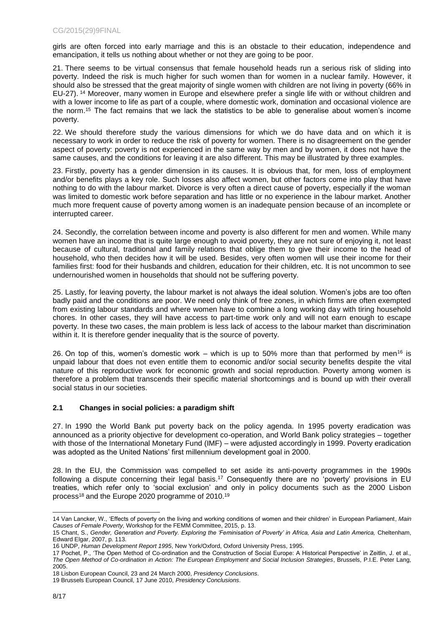girls are often forced into early marriage and this is an obstacle to their education, independence and emancipation, it tells us nothing about whether or not they are going to be poor.

21. There seems to be virtual consensus that female household heads run a serious risk of sliding into poverty. Indeed the risk is much higher for such women than for women in a nuclear family. However, it should also be stressed that the great majority of single women with children are not living in poverty (66% in EU-27). <sup>14</sup> Moreover, many women in Europe and elsewhere prefer a single life with or without children and with a lower income to life as part of a couple, where domestic work, domination and occasional violence are the norm.<sup>15</sup> The fact remains that we lack the statistics to be able to generalise about women's income poverty.

22. We should therefore study the various dimensions for which we do have data and on which it is necessary to work in order to reduce the risk of poverty for women. There is no disagreement on the gender aspect of poverty: poverty is not experienced in the same way by men and by women, it does not have the same causes, and the conditions for leaving it are also different. This may be illustrated by three examples.

23. Firstly, poverty has a gender dimension in its causes. It is obvious that, for men, loss of employment and/or benefits plays a key role. Such losses also affect women, but other factors come into play that have nothing to do with the labour market. Divorce is very often a direct cause of poverty, especially if the woman was limited to domestic work before separation and has little or no experience in the labour market. Another much more frequent cause of poverty among women is an inadequate pension because of an incomplete or interrupted career.

24. Secondly, the correlation between income and poverty is also different for men and women. While many women have an income that is quite large enough to avoid poverty, they are not sure of enjoying it, not least because of cultural, traditional and family relations that oblige them to give their income to the head of household, who then decides how it will be used. Besides, very often women will use their income for their families first: food for their husbands and children, education for their children, etc. It is not uncommon to see undernourished women in households that should not be suffering poverty.

25. Lastly, for leaving poverty, the labour market is not always the ideal solution. Women's jobs are too often badly paid and the conditions are poor. We need only think of free zones, in which firms are often exempted from existing labour standards and where women have to combine a long working day with tiring household chores. In other cases, they will have access to part-time work only and will not earn enough to escape poverty. In these two cases, the main problem is less lack of access to the labour market than discrimination within it. It is therefore gender inequality that is the source of poverty.

26. On top of this, women's domestic work – which is up to 50% more than that performed by men<sup>16</sup> is unpaid labour that does not even entitle them to economic and/or social security benefits despite the vital nature of this reproductive work for economic growth and social reproduction. Poverty among women is therefore a problem that transcends their specific material shortcomings and is bound up with their overall social status in our societies.

#### <span id="page-7-0"></span>**2.1 Changes in social policies: a paradigm shift**

27. In 1990 the World Bank put poverty back on the policy agenda. In 1995 poverty eradication was announced as a priority objective for development co-operation, and World Bank policy strategies – together with those of the International Monetary Fund (IMF) – were adjusted accordingly in 1999. Poverty eradication was adopted as the United Nations' first millennium development goal in 2000.

28. In the EU, the Commission was compelled to set aside its anti-poverty programmes in the 1990s following a dispute concerning their legal basis.<sup>17</sup> Consequently there are no 'poverty' provisions in EU treaties, which refer only to 'social exclusion' and only in policy documents such as the 2000 Lisbon process<sup>18</sup> and the Europe 2020 programme of 2010.<sup>19</sup>

<sup>14</sup> Van Lancker, W., 'Effects of poverty on the living and working conditions of women and their children' in European Parliament, *Main Causes of Female Poverty,* Workshop for the FEMM Committee, 2015, p. 13.

<sup>15</sup> Chant, S., *Gender, Generation and Poverty. Exploring the 'Feminisation of Poverty' in Africa, Asia and Latin America,* Cheltenham, Edward Elgar, 2007, p. 113.

<sup>16</sup> UNDP, *Human Development Report 1995*, New York/Oxford, Oxford University Press, 1995.

<sup>17</sup> Pochet, P., 'The Open Method of Co-ordination and the Construction of Social Europe: A Historical Perspective' in Zeitlin, J. et al., *The Open Method of Co-ordination in Action: The European Employment and Social Inclusion Strategies*, Brussels, P.I.E. Peter Lang, 2005.

<sup>18</sup> Lisbon European Council, 23 and 24 March 2000, *Presidency Conclusions*.

<sup>19</sup> Brussels European Council, 17 June 2010, *Presidency Conclusions*.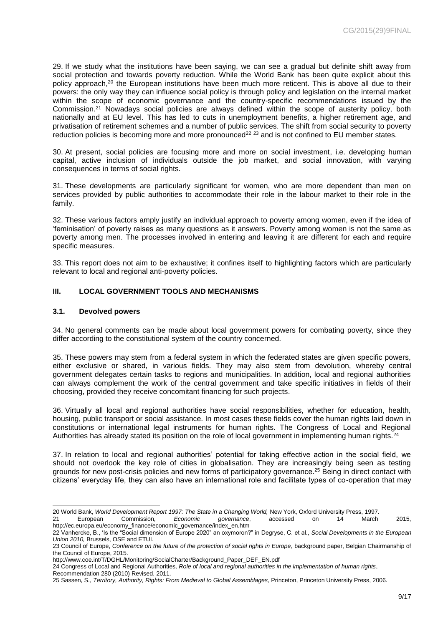29. If we study what the institutions have been saying, we can see a gradual but definite shift away from social protection and towards poverty reduction. While the World Bank has been quite explicit about this policy approach,<sup>20</sup> the European institutions have been much more reticent. This is above all due to their powers: the only way they can influence social policy is through policy and legislation on the internal market within the scope of economic governance and the country-specific recommendations issued by the Commission.<sup>21</sup> Nowadays social policies are always defined within the scope of austerity policy, both nationally and at EU level. This has led to cuts in unemployment benefits, a higher retirement age, and privatisation of retirement schemes and a number of public services. The shift from social security to poverty reduction policies is becoming more and more pronounced<sup>22 23</sup> and is not confined to EU member states.

30. At present, social policies are focusing more and more on social investment, i.e. developing human capital, active inclusion of individuals outside the job market, and social innovation, with varying consequences in terms of social rights.

31. These developments are particularly significant for women, who are more dependent than men on services provided by public authorities to accommodate their role in the labour market to their role in the family.

32. These various factors amply justify an individual approach to poverty among women, even if the idea of 'feminisation' of poverty raises as many questions as it answers. Poverty among women is not the same as poverty among men. The processes involved in entering and leaving it are different for each and require specific measures.

33. This report does not aim to be exhaustive; it confines itself to highlighting factors which are particularly relevant to local and regional anti-poverty policies.

#### <span id="page-8-1"></span><span id="page-8-0"></span>**III. LOCAL GOVERNMENT TOOLS AND MECHANISMS**

#### **3.1. Devolved powers**

34. No general comments can be made about local government powers for combating poverty, since they differ according to the constitutional system of the country concerned.

35. These powers may stem from a federal system in which the federated states are given specific powers, either exclusive or shared, in various fields. They may also stem from devolution, whereby central government delegates certain tasks to regions and municipalities. In addition, local and regional authorities can always complement the work of the central government and take specific initiatives in fields of their choosing, provided they receive concomitant financing for such projects.

36. Virtually all local and regional authorities have social responsibilities, whether for education, health, housing, public transport or social assistance. In most cases these fields cover the human rights laid down in constitutions or international legal instruments for human rights. The Congress of Local and Regional Authorities has already stated its position on the role of local government in implementing human rights.<sup>24</sup>

37. In relation to local and regional authorities' potential for taking effective action in the social field, we should not overlook the key role of cities in globalisation. They are increasingly being seen as testing grounds for new post-crisis policies and new forms of participatory governance.<sup>25</sup> Being in direct contact with citizens' everyday life, they can also have an international role and facilitate types of co-operation that may

<sup>20</sup> World Bank, *World Development Report 1997: The State in a Changing World,* New York, Oxford University Press, 1997.

<sup>21</sup> European Commission, *Economic governance*, accessed on 14 March 2015, http://ec.europa.eu/economy\_finance/economic\_governance/index\_en.htm

<sup>22</sup> Vanhercke, B., 'Is the "Social dimension of Europe 2020" an oxymoron?" in Degryse, C. et al., *Social Developments in the European Union 2010,* Brussels, OSE and ETUI.

<sup>23</sup> Council of Europe, *Conference on the future of the protection of social rights in Europe,* background paper, Belgian Chairmanship of the Council of Europe, 2015.

http://www.coe.int/T/DGHL/Monitoring/SocialCharter/Background\_Paper\_DEF\_EN.pdf

<sup>24</sup> Congress of Local and Regional Authorities*, Role of local and regional authorities in the implementation of human rights*,

Recommendation 280 (2010) Revised, 2011.

<sup>25</sup> Sassen, S., *Territory, Authority, Rights: From Medieval to Global Assemblages,* Princeton, Princeton University Press, 2006.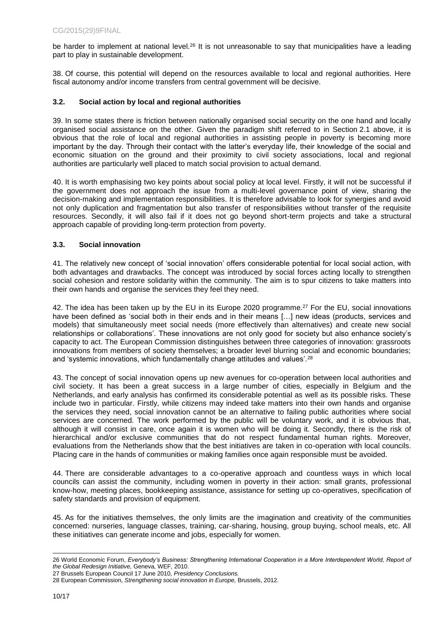be harder to implement at national level.<sup>26</sup> It is not unreasonable to say that municipalities have a leading part to play in sustainable development.

38. Of course, this potential will depend on the resources available to local and regional authorities. Here fiscal autonomy and/or income transfers from central government will be decisive.

#### <span id="page-9-0"></span>**3.2. Social action by local and regional authorities**

39. In some states there is friction between nationally organised social security on the one hand and locally organised social assistance on the other. Given the paradigm shift referred to in Section 2.1 above, it is obvious that the role of local and regional authorities in assisting people in poverty is becoming more important by the day. Through their contact with the latter's everyday life, their knowledge of the social and economic situation on the ground and their proximity to civil society associations, local and regional authorities are particularly well placed to match social provision to actual demand.

40. It is worth emphasising two key points about social policy at local level. Firstly, it will not be successful if the government does not approach the issue from a multi-level governance point of view, sharing the decision-making and implementation responsibilities. It is therefore advisable to look for synergies and avoid not only duplication and fragmentation but also transfer of responsibilities without transfer of the requisite resources. Secondly, it will also fail if it does not go beyond short-term projects and take a structural approach capable of providing long-term protection from poverty.

#### <span id="page-9-1"></span>**3.3. Social innovation**

41. The relatively new concept of 'social innovation' offers considerable potential for local social action, with both advantages and drawbacks. The concept was introduced by social forces acting locally to strengthen social cohesion and restore solidarity within the community. The aim is to spur citizens to take matters into their own hands and organise the services they feel they need.

42. The idea has been taken up by the EU in its Europe 2020 programme.<sup>27</sup> For the EU, social innovations have been defined as 'social both in their ends and in their means [...] new ideas (products, services and models) that simultaneously meet social needs (more effectively than alternatives) and create new social relationships or collaborations'. These innovations are not only good for society but also enhance society's capacity to act. The European Commission distinguishes between three categories of innovation: grassroots innovations from members of society themselves; a broader level blurring social and economic boundaries; and 'systemic innovations, which fundamentally change attitudes and values'.<sup>28</sup>

43. The concept of social innovation opens up new avenues for co-operation between local authorities and civil society. It has been a great success in a large number of cities, especially in Belgium and the Netherlands, and early analysis has confirmed its considerable potential as well as its possible risks. These include two in particular. Firstly, while citizens may indeed take matters into their own hands and organise the services they need, social innovation cannot be an alternative to failing public authorities where social services are concerned. The work performed by the public will be voluntary work, and it is obvious that, although it will consist in care, once again it is women who will be doing it. Secondly, there is the risk of hierarchical and/or exclusive communities that do not respect fundamental human rights. Moreover, evaluations from the Netherlands show that the best initiatives are taken in co-operation with local councils. Placing care in the hands of communities or making families once again responsible must be avoided.

44. There are considerable advantages to a co-operative approach and countless ways in which local councils can assist the community, including women in poverty in their action: small grants, professional know-how, meeting places, bookkeeping assistance, assistance for setting up co-operatives, specification of safety standards and provision of equipment.

45. As for the initiatives themselves, the only limits are the imagination and creativity of the communities concerned: nurseries, language classes, training, car-sharing, housing, group buying, school meals, etc. All these initiatives can generate income and jobs, especially for women.

l 26 World Economic Forum, *Everybody's Business: Strengthening International Cooperation in a More Interdependent World, Report of the Global Redesign Initiative,* Geneva, WEF, 2010.

<sup>27</sup> Brussels European Council 17 June 2010, *Presidency Conclusions.*

<sup>28</sup> European Commission, *Strengthening social innovation in Europe,* Brussels, 2012.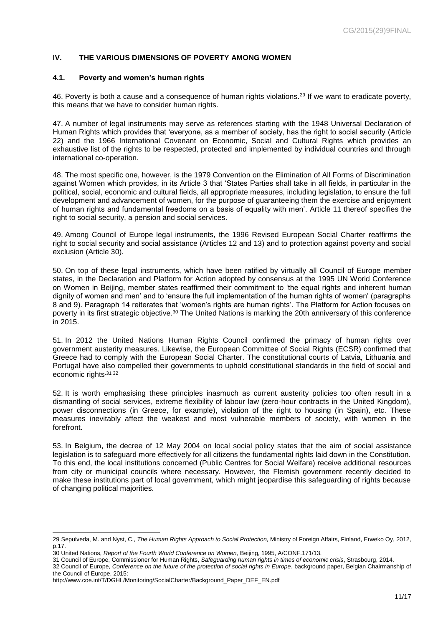#### <span id="page-10-1"></span><span id="page-10-0"></span>**IV. THE VARIOUS DIMENSIONS OF POVERTY AMONG WOMEN**

#### **4.1. Poverty and women's human rights**

46. Poverty is both a cause and a consequence of human rights violations.<sup>29</sup> If we want to eradicate poverty, this means that we have to consider human rights.

47. A number of legal instruments may serve as references starting with the 1948 Universal Declaration of Human Rights which provides that 'everyone, as a member of society, has the right to social security (Article 22) and the 1966 International Covenant on Economic, Social and Cultural Rights which provides an exhaustive list of the rights to be respected, protected and implemented by individual countries and through international co-operation.

48. The most specific one, however, is the 1979 Convention on the Elimination of All Forms of Discrimination against Women which provides, in its Article 3 that 'States Parties shall take in all fields, in particular in the political, social, economic and cultural fields, all appropriate measures, including legislation, to ensure the full development and advancement of women, for the purpose of guaranteeing them the exercise and enjoyment of human rights and fundamental freedoms on a basis of equality with men'. Article 11 thereof specifies the right to social security, a pension and social services.

49. Among Council of Europe legal instruments, the 1996 Revised European Social Charter reaffirms the right to social security and social assistance (Articles 12 and 13) and to protection against poverty and social exclusion (Article 30).

50. On top of these legal instruments, which have been ratified by virtually all Council of Europe member states, in the Declaration and Platform for Action adopted by consensus at the 1995 UN World Conference on Women in Beijing, member states reaffirmed their commitment to 'the equal rights and inherent human dignity of women and men' and to 'ensure the full implementation of the human rights of women' (paragraphs 8 and 9). Paragraph 14 reiterates that 'women's rights are human rights'. The Platform for Action focuses on poverty in its first strategic objective.<sup>30</sup> The United Nations is marking the 20th anniversary of this conference in 2015.

51. In 2012 the United Nations Human Rights Council confirmed the primacy of human rights over government austerity measures. Likewise, the European Committee of Social Rights (ECSR) confirmed that Greece had to comply with the European Social Charter. The constitutional courts of Latvia, Lithuania and Portugal have also compelled their governments to uphold constitutional standards in the field of social and economic rights.31 <sup>32</sup>

52. It is worth emphasising these principles inasmuch as current austerity policies too often result in a dismantling of social services, extreme flexibility of labour law (zero-hour contracts in the United Kingdom), power disconnections (in Greece, for example), violation of the right to housing (in Spain), etc. These measures inevitably affect the weakest and most vulnerable members of society, with women in the forefront.

53. In Belgium, the decree of 12 May 2004 on local social policy states that the aim of social assistance legislation is to safeguard more effectively for all citizens the fundamental rights laid down in the Constitution. To this end, the local institutions concerned (Public Centres for Social Welfare) receive additional resources from city or municipal councils where necessary. However, the Flemish government recently decided to make these institutions part of local government, which might jeopardise this safeguarding of rights because of changing political majorities.

<sup>29</sup> Sepulveda, M. and Nyst, C., *The Human Rights Approach to Social Protection,* Ministry of Foreign Affairs, Finland, Erweko Oy, 2012, p.17.

<sup>30</sup> United Nations, *Report of the Fourth World Conference on Women*, Beijing, 1995, A/CONF.171/13.

<sup>31</sup> Council of Europe, Commissioner for Human Rights, *Safeguarding human rights in times of economic crisis*, Strasbourg, 2014. 32 Council of Europe, *Conference on the future of the protection of social rights in Europe*, background paper, Belgian Chairmanship of the Council of Europe, 2015:

http://www.coe.int/T/DGHL/Monitoring/SocialCharter/Background\_Paper\_DEF\_EN.pdf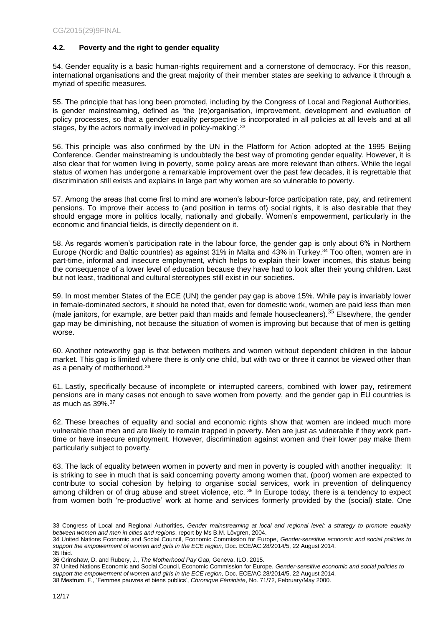#### <span id="page-11-0"></span>**4.2. Poverty and the right to gender equality**

54. Gender equality is a basic human-rights requirement and a cornerstone of democracy. For this reason, international organisations and the great majority of their member states are seeking to advance it through a myriad of specific measures.

55. The principle that has long been promoted, including by the Congress of Local and Regional Authorities, is gender mainstreaming, defined as 'the (re)organisation, improvement, development and evaluation of policy processes, so that a gender equality perspective is incorporated in all policies at all levels and at all stages, by the actors normally involved in policy-making'.<sup>33</sup>

56. This principle was also confirmed by the UN in the Platform for Action adopted at the 1995 Beijing Conference. Gender mainstreaming is undoubtedly the best way of promoting gender equality. However, it is also clear that for women living in poverty, some policy areas are more relevant than others. While the legal status of women has undergone a remarkable improvement over the past few decades, it is regrettable that discrimination still exists and explains in large part why women are so vulnerable to poverty.

57. Among the areas that come first to mind are women's labour-force participation rate, pay, and retirement pensions. To improve their access to (and position in terms of) social rights, it is also desirable that they should engage more in politics locally, nationally and globally. Women's empowerment, particularly in the economic and financial fields, is directly dependent on it.

58. As regards women's participation rate in the labour force, the gender gap is only about 6% in Northern Europe (Nordic and Baltic countries) as against 31% in Malta and 43% in Turkey.<sup>34</sup> Too often, women are in part-time, informal and insecure employment, which helps to explain their lower incomes, this status being the consequence of a lower level of education because they have had to look after their young children. Last but not least, traditional and cultural stereotypes still exist in our societies.

59. In most member States of the ECE (UN) the gender pay gap is above 15%. While pay is invariably lower in female-dominated sectors, it should be noted that, even for domestic work, women are paid less than men (male janitors, for example, are better paid than maids and female housecleaners).<sup>35</sup> Elsewhere, the gender gap may be diminishing, not because the situation of women is improving but because that of men is getting worse.

60. Another noteworthy gap is that between mothers and women without dependent children in the labour market. This gap is limited where there is only one child, but with two or three it cannot be viewed other than as a penalty of motherhood.<sup>36</sup>

61. Lastly, specifically because of incomplete or interrupted careers, combined with lower pay, retirement pensions are in many cases not enough to save women from poverty, and the gender gap in EU countries is as much as 39%.<sup>37</sup>

62. These breaches of equality and social and economic rights show that women are indeed much more vulnerable than men and are likely to remain trapped in poverty. Men are just as vulnerable if they work parttime or have insecure employment. However, discrimination against women and their lower pay make them particularly subject to poverty.

63. The lack of equality between women in poverty and men in poverty is coupled with another inequality: It is striking to see in much that is said concerning poverty among women that, (poor) women are expected to contribute to social cohesion by helping to organise social services, work in prevention of delinquency among children or of drug abuse and street violence, etc. 38 In Europe today, there is a tendency to expect from women both 're-productive' work at home and services formerly provided by the (social) state. One

<sup>33</sup> Congress of Local and Regional Authorities, *Gender mainstreaming at local and regional level: a strategy to promote equality between women and men in cities and regions*, report by Ms B.M. Lövgren, 2004.

<sup>34</sup> United Nations Economic and Social Council, Economic Commission for Europe, *Gender-sensitive economic and social policies to support the empowerment of women and girls in the ECE region,* Doc. ECE/AC.28/2014/5, 22 August 2014.

<sup>35</sup> Ibid.

<sup>36</sup> Grimshaw, D. and Rubery, J., *The Motherhood Pay Gap,* Geneva, ILO, 2015.

<sup>37</sup> United Nations Economic and Social Council, Economic Commission for Europe, *Gender-sensitive economic and social policies to*  support the empowerment of women and girls in the ECE region, Doc. ECE/AC.28/2014/5, 22 August 2014.

<sup>38</sup> Mestrum, F., 'Femmes pauvres et biens publics', *Chronique Féministe*, No. 71/72, February/May 2000.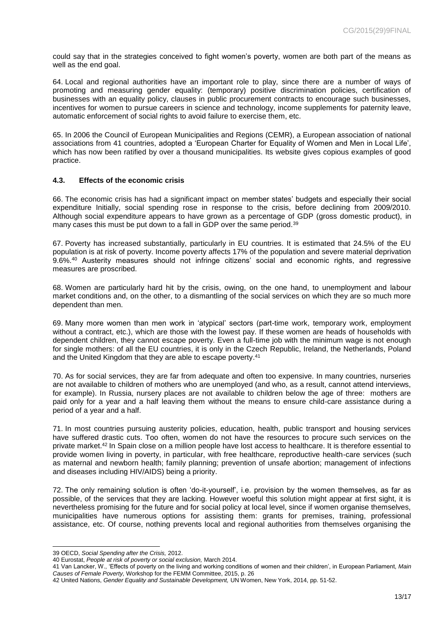could say that in the strategies conceived to fight women's poverty, women are both part of the means as well as the end goal.

64. Local and regional authorities have an important role to play, since there are a number of ways of promoting and measuring gender equality: (temporary) positive discrimination policies, certification of businesses with an equality policy, clauses in public procurement contracts to encourage such businesses, incentives for women to pursue careers in science and technology, income supplements for paternity leave, automatic enforcement of social rights to avoid failure to exercise them, etc.

65. In 2006 the Council of European Municipalities and Regions (CEMR), a European association of national associations from 41 countries, adopted a 'European Charter for Equality of Women and Men in Local Life', which has now been ratified by over a thousand municipalities. Its website gives copious examples of good practice.

#### <span id="page-12-0"></span>**4.3. Effects of the economic crisis**

66. The economic crisis has had a significant impact on member states' budgets and especially their social expenditure Initially, social spending rose in response to the crisis, before declining from 2009/2010. Although social expenditure appears to have grown as a percentage of GDP (gross domestic product), in many cases this must be put down to a fall in GDP over the same period.<sup>39</sup>

67. Poverty has increased substantially, particularly in EU countries. It is estimated that 24.5% of the EU population is at risk of poverty. Income poverty affects 17% of the population and severe material deprivation 9.6%.<sup>40</sup> Austerity measures should not infringe citizens' social and economic rights, and regressive measures are proscribed.

68. Women are particularly hard hit by the crisis, owing, on the one hand, to unemployment and labour market conditions and, on the other, to a dismantling of the social services on which they are so much more dependent than men.

69. Many more women than men work in 'atypical' sectors (part-time work, temporary work, employment without a contract, etc.), which are those with the lowest pay. If these women are heads of households with dependent children, they cannot escape poverty. Even a full-time job with the minimum wage is not enough for single mothers: of all the EU countries, it is only in the Czech Republic, Ireland, the Netherlands, Poland and the United Kingdom that they are able to escape poverty. 41

70. As for social services, they are far from adequate and often too expensive. In many countries, nurseries are not available to children of mothers who are unemployed (and who, as a result, cannot attend interviews, for example). In Russia, nursery places are not available to children below the age of three: mothers are paid only for a year and a half leaving them without the means to ensure child-care assistance during a period of a year and a half.

71. In most countries pursuing austerity policies, education, health, public transport and housing services have suffered drastic cuts. Too often, women do not have the resources to procure such services on the private market.<sup>42</sup> In Spain close on a million people have lost access to healthcare. It is therefore essential to provide women living in poverty, in particular, with free healthcare, reproductive health-care services (such as maternal and newborn health; family planning; prevention of unsafe abortion; management of infections and diseases including HIV/AIDS) being a priority.

72. The only remaining solution is often 'do-it-yourself', i.e. provision by the women themselves, as far as possible, of the services that they are lacking. However woeful this solution might appear at first sight, it is nevertheless promising for the future and for social policy at local level, since if women organise themselves, municipalities have numerous options for assisting them: grants for premises, training, professional assistance, etc. Of course, nothing prevents local and regional authorities from themselves organising the

l 39 OECD, *Social Spending after the Crisis,* 2012.

<sup>40</sup> Eurostat, *People at risk of poverty or social exclusion,* March 2014.

<sup>41</sup> Van Lancker, W., 'Effects of poverty on the living and working conditions of women and their children', in European Parliament, *Main Causes of Female Poverty,* Workshop for the FEMM Committee, 2015, p. 26

<sup>42</sup> United Nations, *Gender Equality and Sustainable Development,* UN Women, New York, 2014, pp. 51-52.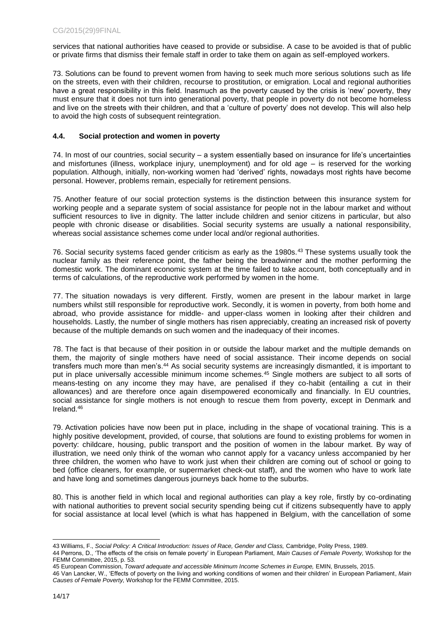services that national authorities have ceased to provide or subsidise. A case to be avoided is that of public or private firms that dismiss their female staff in order to take them on again as self-employed workers.

73. Solutions can be found to prevent women from having to seek much more serious solutions such as life on the streets, even with their children, recourse to prostitution, or emigration. Local and regional authorities have a great responsibility in this field. Inasmuch as the poverty caused by the crisis is 'new' poverty, they must ensure that it does not turn into generational poverty, that people in poverty do not become homeless and live on the streets with their children, and that a 'culture of poverty' does not develop. This will also help to avoid the high costs of subsequent reintegration.

#### <span id="page-13-0"></span>**4.4. Social protection and women in poverty**

74. In most of our countries, social security – a system essentially based on insurance for life's uncertainties and misfortunes (illness, workplace injury, unemployment) and for old age – is reserved for the working population. Although, initially, non-working women had 'derived' rights, nowadays most rights have become personal. However, problems remain, especially for retirement pensions.

75. Another feature of our social protection systems is the distinction between this insurance system for working people and a separate system of social assistance for people not in the labour market and without sufficient resources to live in dignity. The latter include children and senior citizens in particular, but also people with chronic disease or disabilities. Social security systems are usually a national responsibility, whereas social assistance schemes come under local and/or regional authorities.

76. Social security systems faced gender criticism as early as the 1980s.<sup>43</sup> These systems usually took the nuclear family as their reference point, the father being the breadwinner and the mother performing the domestic work. The dominant economic system at the time failed to take account, both conceptually and in terms of calculations, of the reproductive work performed by women in the home.

77. The situation nowadays is very different. Firstly, women are present in the labour market in large numbers whilst still responsible for reproductive work. Secondly, it is women in poverty, from both home and abroad, who provide assistance for middle- and upper-class women in looking after their children and households. Lastly, the number of single mothers has risen appreciably, creating an increased risk of poverty because of the multiple demands on such women and the inadequacy of their incomes.

78. The fact is that because of their position in or outside the labour market and the multiple demands on them, the majority of single mothers have need of social assistance. Their income depends on social transfers much more than men's.<sup>44</sup> As social security systems are increasingly dismantled, it is important to put in place universally accessible minimum income schemes.<sup>45</sup> Single mothers are subject to all sorts of means-testing on any income they may have, are penalised if they co-habit (entailing a cut in their allowances) and are therefore once again disempowered economically and financially. In EU countries, social assistance for single mothers is not enough to rescue them from poverty, except in Denmark and Ireland.<sup>46</sup>

79. Activation policies have now been put in place, including in the shape of vocational training. This is a highly positive development, provided, of course, that solutions are found to existing problems for women in poverty: childcare, housing, public transport and the position of women in the labour market. By way of illustration, we need only think of the woman who cannot apply for a vacancy unless accompanied by her three children, the women who have to work just when their children are coming out of school or going to bed (office cleaners, for example, or supermarket check-out staff), and the women who have to work late and have long and sometimes dangerous journeys back home to the suburbs.

80. This is another field in which local and regional authorities can play a key role, firstly by co-ordinating with national authorities to prevent social security spending being cut if citizens subsequently have to apply for social assistance at local level (which is what has happened in Belgium, with the cancellation of some

l 43 Williams, F., *Social Policy: A Critical Introduction: Issues of Race, Gender and Class,* Cambridge, Polity Press, 1989.

<sup>44</sup> Perrons, D., 'The effects of the crisis on female poverty' in European Parliament, *Main Causes of Female Poverty,* Workshop for the FEMM Committee, 2015, p. 53.

<sup>45</sup> European Commission, *Toward adequate and accessible Minimum Income Schemes in Europe,* EMIN, Brussels, 2015.

<sup>46</sup> Van Lancker, W., 'Effects of poverty on the living and working conditions of women and their children' in European Parliament, *Main Causes of Female Poverty,* Workshop for the FEMM Committee, 2015.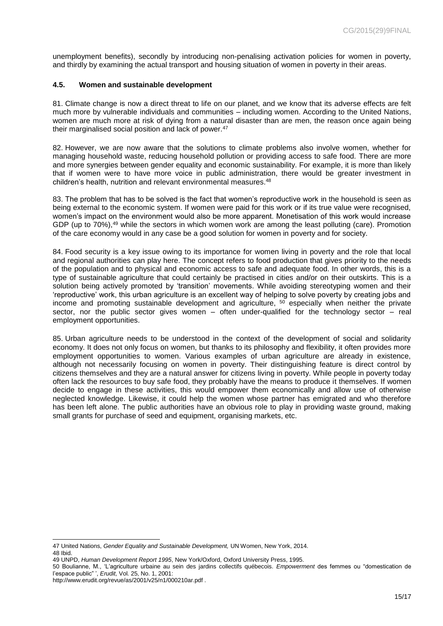unemployment benefits), secondly by introducing non-penalising activation policies for women in poverty, and thirdly by examining the actual transport and housing situation of women in poverty in their areas.

#### <span id="page-14-0"></span>**4.5. Women and sustainable development**

81. Climate change is now a direct threat to life on our planet, and we know that its adverse effects are felt much more by vulnerable individuals and communities – including women. According to the United Nations, women are much more at risk of dying from a natural disaster than are men, the reason once again being their marginalised social position and lack of power.<sup>47</sup>

82. However, we are now aware that the solutions to climate problems also involve women, whether for managing household waste, reducing household pollution or providing access to safe food. There are more and more synergies between gender equality and economic sustainability. For example, it is more than likely that if women were to have more voice in public administration, there would be greater investment in children's health, nutrition and relevant environmental measures.<sup>48</sup>

83. The problem that has to be solved is the fact that women's reproductive work in the household is seen as being external to the economic system. If women were paid for this work or if its true value were recognised, women's impact on the environment would also be more apparent. Monetisation of this work would increase GDP (up to 70%), <sup>49</sup> while the sectors in which women work are among the least polluting (care). Promotion of the care economy would in any case be a good solution for women in poverty and for society.

84. Food security is a key issue owing to its importance for women living in poverty and the role that local and regional authorities can play here. The concept refers to food production that gives priority to the needs of the population and to physical and economic access to safe and adequate food. In other words, this is a type of sustainable agriculture that could certainly be practised in cities and/or on their outskirts. This is a solution being actively promoted by 'transition' movements. While avoiding stereotyping women and their 'reproductive' work, this urban agriculture is an excellent way of helping to solve poverty by creating jobs and income and promoting sustainable development and agriculture,  $50$  especially when neither the private sector, nor the public sector gives women – often under-qualified for the technology sector – real employment opportunities.

85. Urban agriculture needs to be understood in the context of the development of social and solidarity economy. It does not only focus on women, but thanks to its philosophy and flexibility, it often provides more employment opportunities to women. Various examples of urban agriculture are already in existence, although not necessarily focusing on women in poverty. Their distinguishing feature is direct control by citizens themselves and they are a natural answer for citizens living in poverty. While people in poverty today often lack the resources to buy safe food, they probably have the means to produce it themselves. If women decide to engage in these activities, this would empower them economically and allow use of otherwise neglected knowledge. Likewise, it could help the women whose partner has emigrated and who therefore has been left alone. The public authorities have an obvious role to play in providing waste ground, making small grants for purchase of seed and equipment, organising markets, etc.

<sup>47</sup> United Nations, *Gender Equality and Sustainable Development,* UN Women, New York, 2014.

<sup>48</sup> Ibid.

<sup>49</sup> UNPD, *Human Development Report 1995*, New York/Oxford, Oxford University Press, 1995.

<sup>50</sup> Boulianne, M., 'L'agriculture urbaine au sein des jardins collectifs québecois. *Empowerment* des femmes ou "domestication de l'espace public" ', *Erudit,* Vol. 25, No. 1, 2001:

http://www.erudit.org/revue/as/2001/v25/n1/000210ar.pdf .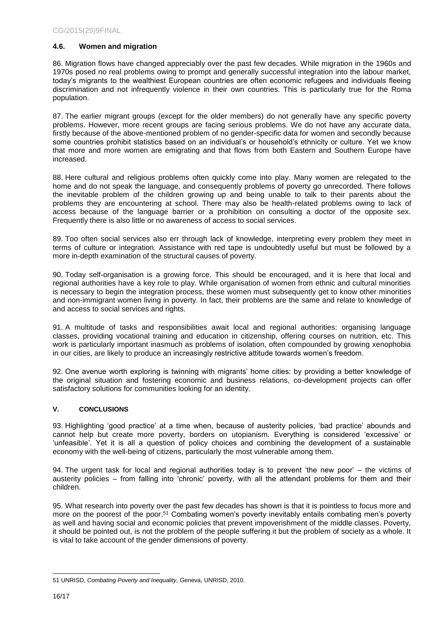#### <span id="page-15-0"></span>**4.6. Women and migration**

86. Migration flows have changed appreciably over the past few decades. While migration in the 1960s and 1970s posed no real problems owing to prompt and generally successful integration into the labour market, today's migrants to the wealthiest European countries are often economic refugees and individuals fleeing discrimination and not infrequently violence in their own countries. This is particularly true for the Roma population.

87. The earlier migrant groups (except for the older members) do not generally have any specific poverty problems. However, more recent groups are facing serious problems. We do not have any accurate data, firstly because of the above-mentioned problem of no gender-specific data for women and secondly because some countries prohibit statistics based on an individual's or household's ethnicity or culture. Yet we know that more and more women are emigrating and that flows from both Eastern and Southern Europe have increased.

88. Here cultural and religious problems often quickly come into play. Many women are relegated to the home and do not speak the language, and consequently problems of poverty go unrecorded. There follows the inevitable problem of the children growing up and being unable to talk to their parents about the problems they are encountering at school. There may also be health-related problems owing to lack of access because of the language barrier or a prohibition on consulting a doctor of the opposite sex. Frequently there is also little or no awareness of access to social services.

89. Too often social services also err through lack of knowledge, interpreting every problem they meet in terms of culture or integration. Assistance with red tape is undoubtedly useful but must be followed by a more in-depth examination of the structural causes of poverty.

90. Today self-organisation is a growing force. This should be encouraged, and it is here that local and regional authorities have a key role to play. While organisation of women from ethnic and cultural minorities is necessary to begin the integration process, these women must subsequently get to know other minorities and non-immigrant women living in poverty. In fact, their problems are the same and relate to knowledge of and access to social services and rights.

91. A multitude of tasks and responsibilities await local and regional authorities: organising language classes, providing vocational training and education in citizenship, offering courses on nutrition, etc. This work is particularly important inasmuch as problems of isolation, often compounded by growing xenophobia in our cities, are likely to produce an increasingly restrictive attitude towards women's freedom.

92. One avenue worth exploring is twinning with migrants' home cities: by providing a better knowledge of the original situation and fostering economic and business relations, co-development projects can offer satisfactory solutions for communities looking for an identity.

#### <span id="page-15-1"></span>**V. CONCLUSIONS**

93. Highlighting 'good practice' at a time when, because of austerity policies, 'bad practice' abounds and cannot help but create more poverty, borders on utopianism. Everything is considered 'excessive' or 'unfeasible'. Yet it is all a question of policy choices and combining the development of a sustainable economy with the well-being of citizens, particularly the most vulnerable among them.

94. The urgent task for local and regional authorities today is to prevent 'the new poor' – the victims of austerity policies – from falling into 'chronic' poverty, with all the attendant problems for them and their children.

95. What research into poverty over the past few decades has shown is that it is pointless to focus more and more on the poorest of the poor.<sup>51</sup> Combating women's poverty inevitably entails combating men's poverty as well and having social and economic policies that prevent impoverishment of the middle classes. Poverty, it should be pointed out, is not the problem of the people suffering it but the problem of society as a whole. It is vital to take account of the gender dimensions of poverty.

l 51 UNRISD, *Combating Poverty and Inequality,* Geneva, UNRISD, 2010.